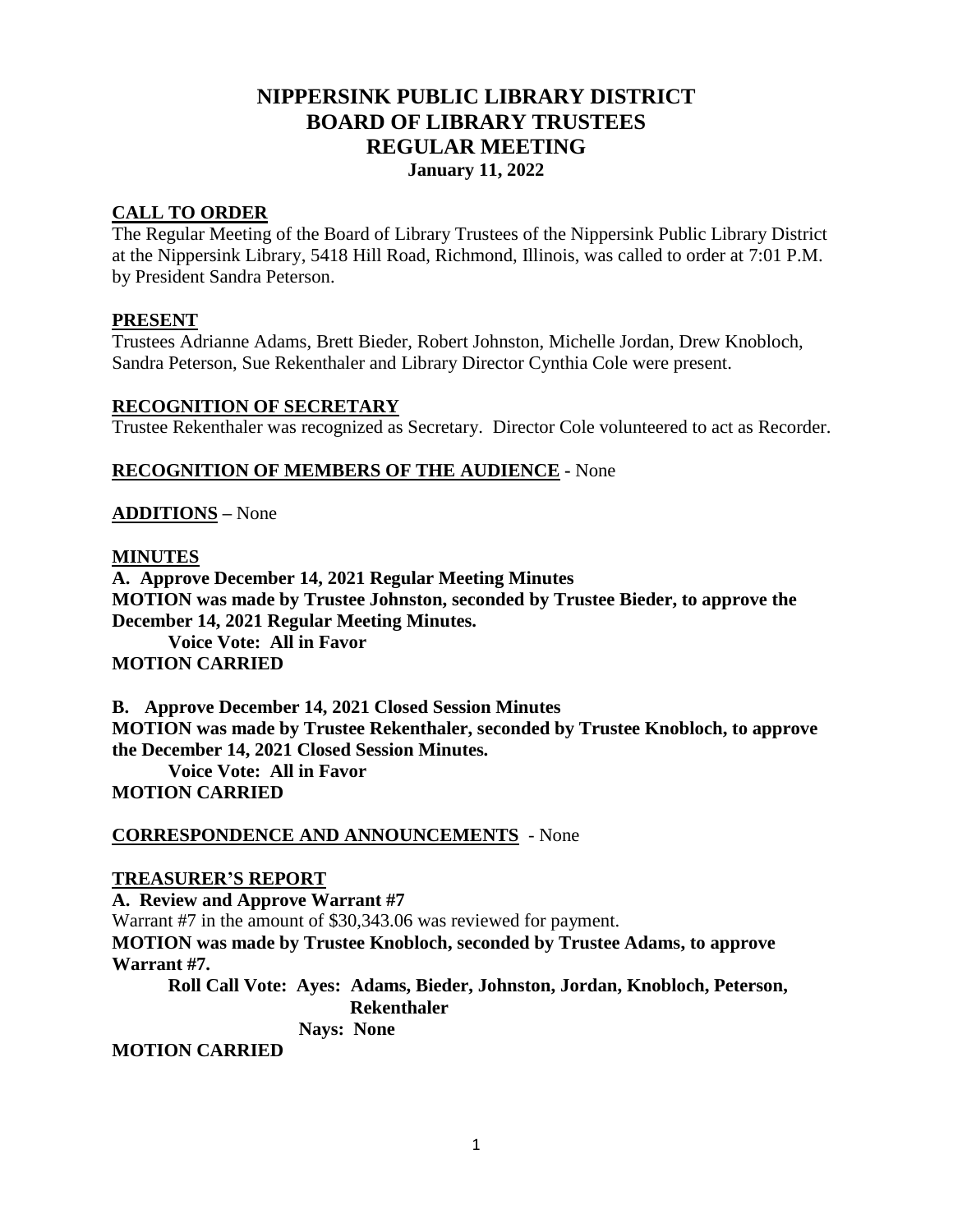# **NIPPERSINK PUBLIC LIBRARY DISTRICT BOARD OF LIBRARY TRUSTEES REGULAR MEETING January 11, 2022**

### **CALL TO ORDER**

The Regular Meeting of the Board of Library Trustees of the Nippersink Public Library District at the Nippersink Library, 5418 Hill Road, Richmond, Illinois, was called to order at 7:01 P.M. by President Sandra Peterson.

### **PRESENT**

Trustees Adrianne Adams, Brett Bieder, Robert Johnston, Michelle Jordan, Drew Knobloch, Sandra Peterson, Sue Rekenthaler and Library Director Cynthia Cole were present.

### **RECOGNITION OF SECRETARY**

Trustee Rekenthaler was recognized as Secretary. Director Cole volunteered to act as Recorder.

### **RECOGNITION OF MEMBERS OF THE AUDIENCE -** None

### **ADDITIONS** *–* None

#### **MINUTES**

**A. Approve December 14, 2021 Regular Meeting Minutes MOTION was made by Trustee Johnston, seconded by Trustee Bieder, to approve the December 14, 2021 Regular Meeting Minutes. Voice Vote: All in Favor MOTION CARRIED**

**B. Approve December 14, 2021 Closed Session Minutes MOTION was made by Trustee Rekenthaler, seconded by Trustee Knobloch, to approve the December 14, 2021 Closed Session Minutes. Voice Vote: All in Favor MOTION CARRIED**

#### **CORRESPONDENCE AND ANNOUNCEMENTS** - None

### **TREASURER'S REPORT**

**A. Review and Approve Warrant #7** Warrant #7 in the amount of \$30,343.06 was reviewed for payment. **MOTION was made by Trustee Knobloch, seconded by Trustee Adams, to approve Warrant #7.**

**Roll Call Vote: Ayes: Adams, Bieder, Johnston, Jordan, Knobloch, Peterson, Rekenthaler**

 **Nays: None**

**MOTION CARRIED**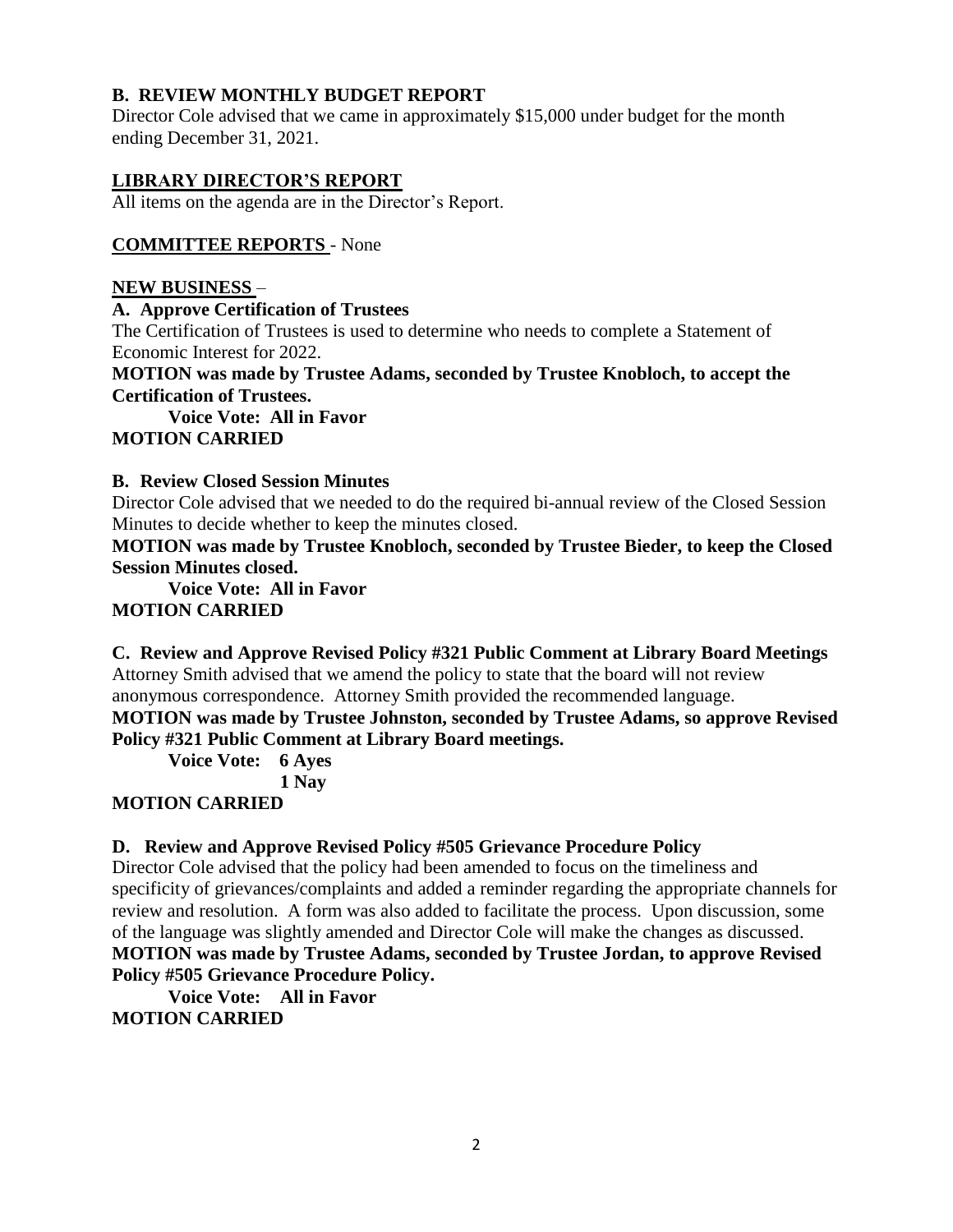## **B. REVIEW MONTHLY BUDGET REPORT**

Director Cole advised that we came in approximately \$15,000 under budget for the month ending December 31, 2021.

## **LIBRARY DIRECTOR'S REPORT**

All items on the agenda are in the Director's Report.

## **COMMITTEE REPORTS** - None

### **NEW BUSINESS** –

**A. Approve Certification of Trustees**

The Certification of Trustees is used to determine who needs to complete a Statement of Economic Interest for 2022.

**MOTION was made by Trustee Adams, seconded by Trustee Knobloch, to accept the Certification of Trustees.**

**Voice Vote: All in Favor MOTION CARRIED**

## **B. Review Closed Session Minutes**

Director Cole advised that we needed to do the required bi-annual review of the Closed Session Minutes to decide whether to keep the minutes closed.

**MOTION was made by Trustee Knobloch, seconded by Trustee Bieder, to keep the Closed Session Minutes closed.**

**Voice Vote: All in Favor MOTION CARRIED**

**C. Review and Approve Revised Policy #321 Public Comment at Library Board Meetings** Attorney Smith advised that we amend the policy to state that the board will not review

anonymous correspondence. Attorney Smith provided the recommended language.

**MOTION was made by Trustee Johnston, seconded by Trustee Adams, so approve Revised Policy #321 Public Comment at Library Board meetings.**

**Voice Vote: 6 Ayes**

**1 Nay**

# **MOTION CARRIED**

## **D. Review and Approve Revised Policy #505 Grievance Procedure Policy**

Director Cole advised that the policy had been amended to focus on the timeliness and specificity of grievances/complaints and added a reminder regarding the appropriate channels for review and resolution. A form was also added to facilitate the process. Upon discussion, some of the language was slightly amended and Director Cole will make the changes as discussed. **MOTION was made by Trustee Adams, seconded by Trustee Jordan, to approve Revised Policy #505 Grievance Procedure Policy.**

**Voice Vote: All in Favor MOTION CARRIED**